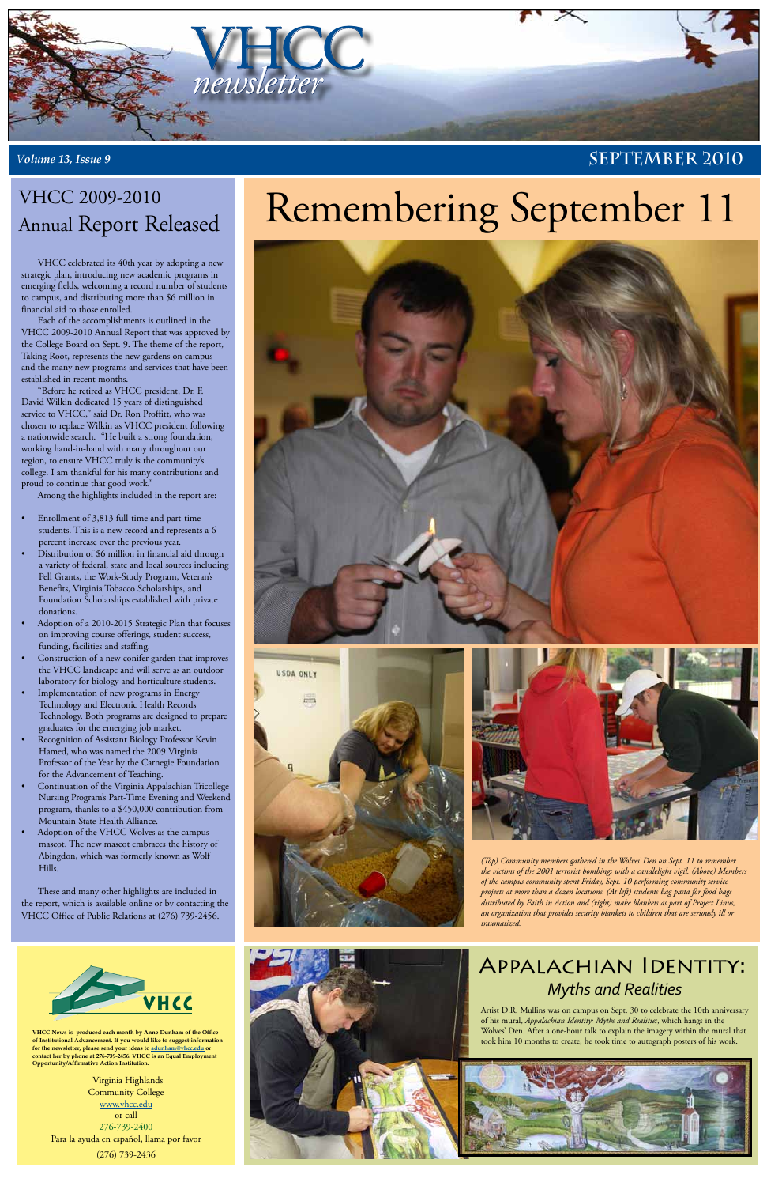

*Volume 13, Issue 9* **SEPTEMBER 2010** 

**VHCC News is produced each month by Anne Dunham of the Office of Institutional Advancement. If you would like to suggest information for the newsletter, please send your ideas to [adunham@vhcc.edu or](mailto:adunham@vhcc.edu) contact her by phone at 276-739-2456. VHCC is an Equal Employment Opportunity/Affirmative Action Institution.**

Virginia Highlands Community College [www.vhcc.edu](http://www.vhcc.edu) or call 276-739-2400 Para la ayuda en español, llama por favor (276) 739-2436











VHCC celebrated its 40th year by adopting a new strategic plan, introducing new academic programs in emerging fields, welcoming a record number of students to campus, and distributing more than \$6 million in financial aid to those enrolled.

Each of the accomplishments is outlined in the VHCC 2009-2010 Annual Report that was approved by the College Board on Sept. 9. The theme of the report, Taking Root, represents the new gardens on campus and the many new programs and services that have been established in recent months.

"Before he retired as VHCC president, Dr. F. David Wilkin dedicated 15 years of distinguished service to VHCC," said Dr. Ron Proffitt, who was chosen to replace Wilkin as VHCC president following a nationwide search. "He built a strong foundation, working hand-in-hand with many throughout our region, to ensure VHCC truly is the community's college. I am thankful for his many contributions and proud to continue that good work."

- Enrollment of 3,813 full-time and part-time students. This is a new record and represents a 6 percent increase over the previous year.
- Distribution of \$6 million in financial aid through a variety of federal, state and local sources including Pell Grants, the Work-Study Program, Veteran's Benefits, Virginia Tobacco Scholarships, and Foundation Scholarships established with private donations.
- Adoption of a 2010-2015 Strategic Plan that focuses on improving course offerings, student success, funding, facilities and staffing.
- Construction of a new conifer garden that improves the VHCC landscape and will serve as an outdoor laboratory for biology and horticulture students.
- Implementation of new programs in Energy Technology and Electronic Health Records Technology. Both programs are designed to prepare graduates for the emerging job market.
- Recognition of Assistant Biology Professor Kevin Hamed, who was named the 2009 Virginia Professor of the Year by the Carnegie Foundation for the Advancement of Teaching.
- Continuation of the Virginia Appalachian Tricollege Nursing Program's Part-Time Evening and Weekend program, thanks to a \$450,000 contribution from Mountain State Health Alliance.
- Adoption of the VHCC Wolves as the campus mascot. The new mascot embraces the history of Abingdon, which was formerly known as Wolf Hills.

Among the highlights included in the report are:

These and many other highlights are included in the report, which is available online or by contacting the VHCC Office of Public Relations at (276) 739-2456.



## VHCC 2009-2010 Annual Report Released

*(Top) Community members gathered in the Wolves' Den on Sept. 11 to remember the victims of the 2001 terrorist bombings with a candlelight vigil. (Above) Members of the campus community spent Friday, Sept. 10 performing community service projects at more than a dozen locations. (At left) students bag pasta for food bags distributed by Faith in Action and (right) make blankets as part of Project Linus, an organization that provides security blankets to children that are seriously ill or traumatized.*

#### Appalachian Identity:  *Myths and Realities*

Artist D.R. Mullins was on campus on Sept. 30 to celebrate the 10th anniversary of his mural, *Appalachian Identity: Myths and Realities*, which hangs in the Wolves' Den. After a one-hour talk to explain the imagery within the mural that took him 10 months to create, he took time to autograph posters of his work.